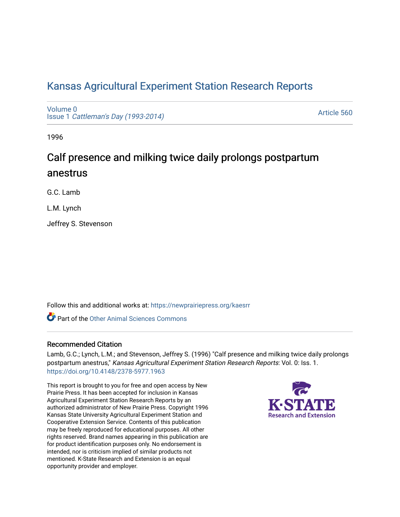# [Kansas Agricultural Experiment Station Research Reports](https://newprairiepress.org/kaesrr)

[Volume 0](https://newprairiepress.org/kaesrr/vol0) Issue 1 [Cattleman's Day \(1993-2014\)](https://newprairiepress.org/kaesrr/vol0/iss1) 

[Article 560](https://newprairiepress.org/kaesrr/vol0/iss1/560) 

1996

# Calf presence and milking twice daily prolongs postpartum anestrus

G.C. Lamb

L.M. Lynch

Jeffrey S. Stevenson

Follow this and additional works at: [https://newprairiepress.org/kaesrr](https://newprairiepress.org/kaesrr?utm_source=newprairiepress.org%2Fkaesrr%2Fvol0%2Fiss1%2F560&utm_medium=PDF&utm_campaign=PDFCoverPages) 

**C** Part of the [Other Animal Sciences Commons](http://network.bepress.com/hgg/discipline/82?utm_source=newprairiepress.org%2Fkaesrr%2Fvol0%2Fiss1%2F560&utm_medium=PDF&utm_campaign=PDFCoverPages)

## Recommended Citation

Lamb, G.C.; Lynch, L.M.; and Stevenson, Jeffrey S. (1996) "Calf presence and milking twice daily prolongs postpartum anestrus," Kansas Agricultural Experiment Station Research Reports: Vol. 0: Iss. 1. <https://doi.org/10.4148/2378-5977.1963>

This report is brought to you for free and open access by New Prairie Press. It has been accepted for inclusion in Kansas Agricultural Experiment Station Research Reports by an authorized administrator of New Prairie Press. Copyright 1996 Kansas State University Agricultural Experiment Station and Cooperative Extension Service. Contents of this publication may be freely reproduced for educational purposes. All other rights reserved. Brand names appearing in this publication are for product identification purposes only. No endorsement is intended, nor is criticism implied of similar products not mentioned. K-State Research and Extension is an equal opportunity provider and employer.

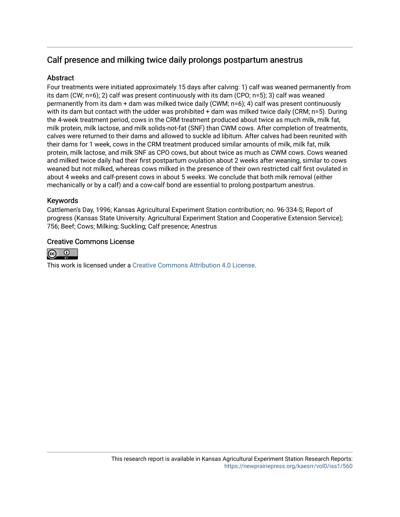## Calf presence and milking twice daily prolongs postpartum anestrus

## **Abstract**

Four treatments were initiated approximately 15 days after calving: 1) calf was weaned permanently from its dam (CW; n=6); 2) calf was present continuously with its dam (CPO; n=5); 3) calf was weaned permanently from its dam + dam was milked twice daily (CWM; n=6); 4) calf was present continuously with its dam but contact with the udder was prohibited + dam was milked twice daily (CRM; n=5). During the 4-week treatment period, cows in the CRM treatment produced about twice as much milk, milk fat, milk protein, milk lactose, and milk solids-not-fat (SNF) than CWM cows. After completion of treatments, calves were returned to their dams and allowed to suckle ad libitum. After calves had been reunited with their dams for 1 week, cows in the CRM treatment produced similar amounts of milk, milk fat, milk protein, milk lactose, and milk SNF as CPO cows, but about twice as much as CWM cows. Cows weaned and milked twice daily had their first postpartum ovulation about 2 weeks after weaning, similar to cows weaned but not milked, whereas cows milked in the presence of their own restricted calf first ovulated in about 4 weeks and calf-present cows in about 5 weeks. We conclude that both milk removal (either mechanically or by a calf) and a cow-calf bond are essential to prolong postpartum anestrus.

## Keywords

Cattlemen's Day, 1996; Kansas Agricultural Experiment Station contribution; no. 96-334-S; Report of progress (Kansas State University. Agricultural Experiment Station and Cooperative Extension Service); 756; Beef; Cows; Milking; Suckling; Calf presence; Anestrus

## Creative Commons License



This work is licensed under a [Creative Commons Attribution 4.0 License](https://creativecommons.org/licenses/by/4.0/).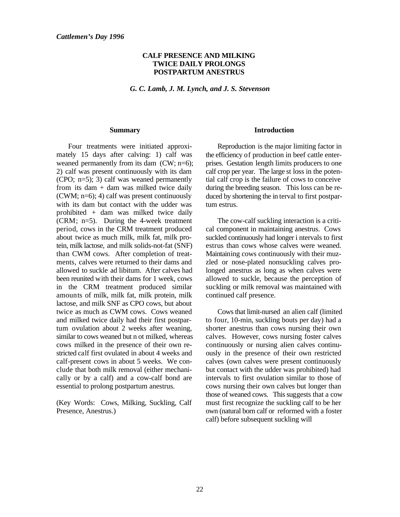### **CALF PRESENCE AND MILKING TWICE DAILY PROLONGS POSTPARTUM ANESTRUS**

*G. C. Lamb, J. M. Lynch, and J. S. Stevenson*

#### **Summary**

Four treatments were initiated approximately 15 days after calving: 1) calf was weaned permanently from its dam (CW; n=6); 2) calf was present continuously with its dam (CPO;  $n=5$ ); 3) calf was weaned permanently from its dam + dam was milked twice daily (CWM; n=6); 4) calf was present continuously with its dam but contact with the udder was prohibited + dam was milked twice daily (CRM; n=5). During the 4-week treatment period, cows in the CRM treatment produced about twice as much milk, milk fat, milk protein, milk lactose, and milk solids-not-fat (SNF) than CWM cows. After completion of treatments, calves were returned to their dams and allowed to suckle ad libitum. After calves had been reunited with their dams for 1 week, cows in the CRM treatment produced similar amounts of milk, milk fat, milk protein, milk lactose, and milk SNF as CPO cows, but about twice as much as CWM cows. Cows weaned and milked twice daily had their first postpartum ovulation about 2 weeks after weaning, similar to cows weaned but n ot milked, whereas cows milked in the presence of their own restricted calf first ovulated in about 4 weeks and calf-present cows in about 5 weeks. We conclude that both milk removal (either mechanically or by a calf) and a cow-calf bond are essential to prolong postpartum anestrus.

(Key Words: Cows, Milking, Suckling, Calf Presence, Anestrus.)

#### **Introduction**

Reproduction is the major limiting factor in the efficiency of production in beef cattle enterprises. Gestation length limits producers to one calf crop per year. The large st loss in the potential calf crop is the failure of cows to conceive during the breeding season. This loss can be reduced by shortening the in terval to first postpartum estrus.

The cow-calf suckling interaction is a critical component in maintaining anestrus. Cows suckled continuously had longer i ntervals to first estrus than cows whose calves were weaned. Maintaining cows continuously with their muzzled or nose-plated nonsuckling calves prolonged anestrus as long as when calves were allowed to suckle, because the perception of suckling or milk removal was maintained with continued calf presence.

Cows that limit-nursed an alien calf (limited to four, 10-min, suckling bouts per day) had a shorter anestrus than cows nursing their own calves. However, cows nursing foster calves continuously or nursing alien calves continuously in the presence of their own restricted calves (own calves were present continuously but contact with the udder was prohibited) had intervals to first ovulation similar to those of cows nursing their own calves but longer than those of weaned cows.This suggests that a cow must first recognize the suckling calf to be her own (natural born calf or reformed with a foster calf) before subsequent suckling will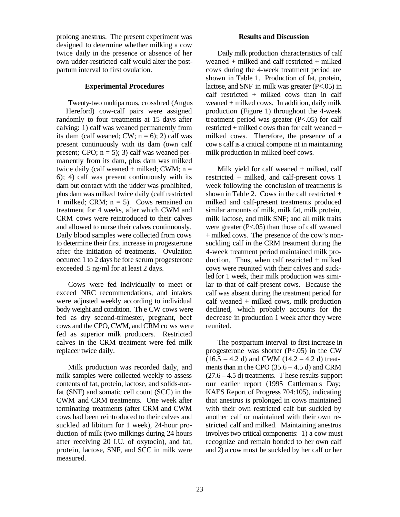prolong anestrus. The present experiment was designed to determine whether milking a cow twice daily in the presence or absence of her own udder-restricted calf would alter the postpartum interval to first ovulation.

#### **Experimental Procedures**

Twenty-two multipa rous, crossbred (Angus Hereford) cow-calf pairs were assigned randomly to four treatments at 15 days after calving: 1) calf was weaned permanently from its dam (calf weaned; CW;  $n = 6$ ); 2) calf was present continuously with its dam (own calf present; CPO;  $n = 5$ ); 3) calf was weaned permanently from its dam, plus dam was milked twice daily (calf weaned + milked; CWM;  $n =$ 6); 4) calf was present continuously with its dam but contact with the udder was prohibited, plus dam was milked twice daily (calf restricted + milked; CRM; n = 5). Cows remained on treatment for 4 weeks, after which CWM and CRM cows were reintroduced to their calves and allowed to nurse their calves continuously. Daily blood samples were collected from cows to determine their first increase in progesterone after the initiation of treatments. Ovulation occurred 1 to 2 days be fore serum progesterone exceeded .5 ng/ml for at least 2 days.

Cows were fed individually to meet or exceed NRC recommendations, and intakes were adjusted weekly according to individual body weight and condition. Th e CW cows were fed as dry second-trimester, pregnant, beef cows and the CPO, CWM, and CRM co ws were fed as superior milk producers. Restricted calves in the CRM treatment were fed milk replacer twice daily.

Milk production was recorded daily, and milk samples were collected weekly to assess contents of fat, protein, lactose, and solids-notfat (SNF) and somatic cell count (SCC) in the CWM and CRM treatments. One week after terminating treatments (after CRM and CWM cows had been reintroduced to their calves and suckled ad libitum for 1 week), 24-hour production of milk (two milkings during 24 hours after receiving 20 I.U. of oxytocin), and fat, protein, lactose, SNF, and SCC in milk were measured.

#### **Results and Discussion**

Daily milk production characteristics of calf weaned + milked and calf restricted + milked cows during the 4-week treatment period are shown in Table 1. Production of fat, protein, lactose, and SNF in milk was greater (P<.05) in calf restricted  $+$  milked cows than in calf weaned + milked cows. In addition, daily milk production (Figure 1) throughout the 4-week treatment period was greater (P<.05) for calf restricted + milked c ows than for calf weaned + milked cows. Therefore, the presence of a cow s calf is a critical compone nt in maintaining milk production in milked beef cows.

Milk yield for calf weaned + milked, calf restricted + milked, and calf-present cows 1 week following the conclusion of treatments is shown in Table 2. Cows in the calf restricted  $+$ milked and calf-present treatments produced similar amounts of milk, milk fat, milk protein, milk lactose, and milk SNF; and all milk traits were greater (P<.05) than those of calf weaned + milked cows. The presence of the cow's nonsuckling calf in the CRM treatment during the 4-week treatment period maintained milk production. Thus, when calf restricted  $+$  milked cows were reunited with their calves and suckled for 1 week, their milk production was similar to that of calf-present cows. Because the calf was absent during the treatment period for calf weaned + milked cows, milk production declined, which probably accounts for the decrease in production 1 week after they were reunited.

The postpartum interval to first increase in progesterone was shorter  $(P<.05)$  in the CW  $(16.5 - 4.2 d)$  and CWM  $(14.2 - 4.2 d)$  treatments than in the CPO (35.6 – 4.5 d) and CRM  $(27.6 - 4.5 d)$  treatments. T hese results support our earlier report (1995 Cattleman s Day; KAES Report of Progress 704:105), indicating that anestrus is prolonged in cows maintained with their own restricted calf but suckled by another calf or maintained with their own restricted calf and milked. Maintaining anestrus involves two critical components: 1) a cow must recognize and remain bonded to her own calf and 2) a cow must be suckled by her calf or her